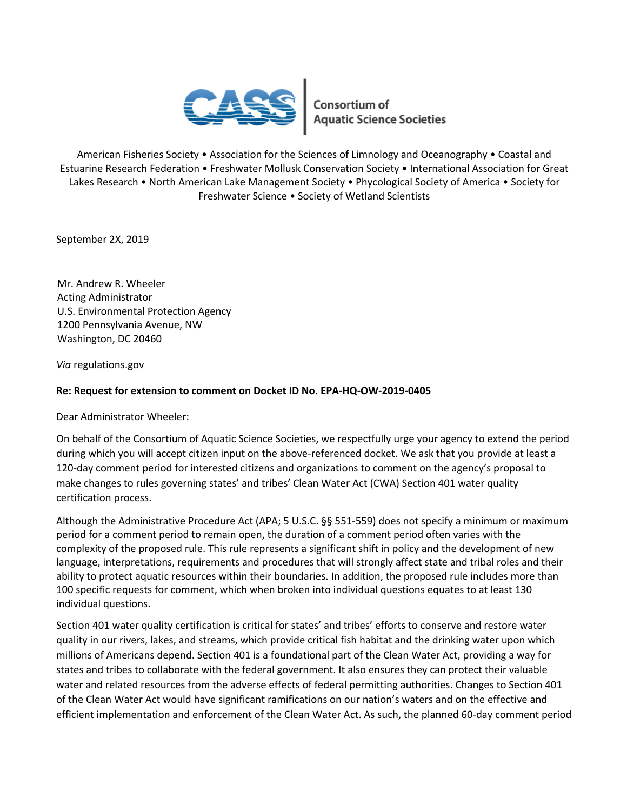

American Fisheries Society • Association for the Sciences of Limnology and Oceanography • Coastal and Estuarine Research Federation • Freshwater Mollusk Conservation Society • International Association for Great Lakes Research • North American Lake Management Society • Phycological Society of America • Society for Freshwater Science • Society of Wetland Scientists

September 2X, 2019

Mr. Andrew R. Wheeler Acting Administrator U.S. Environmental Protection Agency 1200 Pennsylvania Avenue, NW Washington, DC 20460

*Via* regulations.gov

## **Re: Request for extension to comment on Docket ID No. EPA-HQ-OW-2019-0405**

Dear Administrator Wheeler:

On behalf of the Consortium of Aquatic Science Societies, we respectfully urge your agency to extend the period during which you will accept citizen input on the above-referenced docket. We ask that you provide at least a 120-day comment period for interested citizens and organizations to comment on the agency's proposal to make changes to rules governing states' and tribes' Clean Water Act (CWA) Section 401 water quality certification process.

Although the Administrative Procedure Act (APA; 5 U.S.C. §§ 551-559) does not specify a minimum or maximum period for a comment period to remain open, the duration of a comment period often varies with the complexity of the proposed rule. This rule represents a significant shift in policy and the development of new language, interpretations, requirements and procedures that will strongly affect state and tribal roles and their ability to protect aquatic resources within their boundaries. In addition, the proposed rule includes more than 100 specific requests for comment, which when broken into individual questions equates to at least 130 individual questions.

Section 401 water quality certification is critical for states' and tribes' efforts to conserve and restore water quality in our rivers, lakes, and streams, which provide critical fish habitat and the drinking water upon which millions of Americans depend. Section 401 is a foundational part of the Clean Water Act, providing a way for states and tribes to collaborate with the federal government. It also ensures they can protect their valuable water and related resources from the adverse effects of federal permitting authorities. Changes to Section 401 of the Clean Water Act would have significant ramifications on our nation's waters and on the effective and efficient implementation and enforcement of the Clean Water Act. As such, the planned 60-day comment period